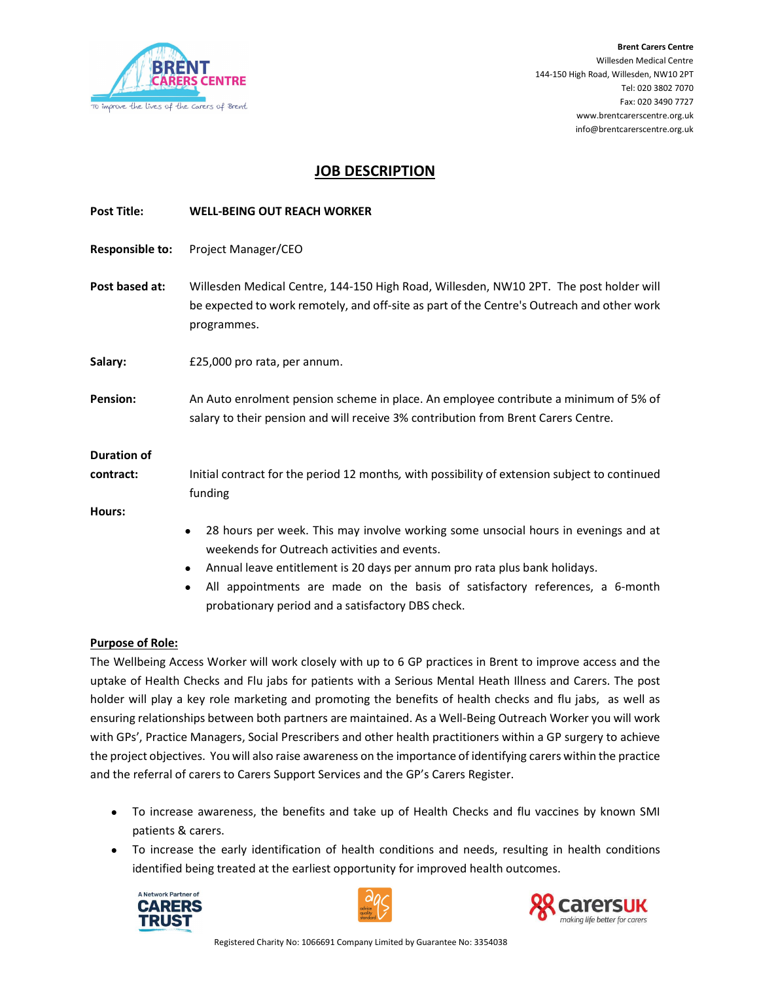

## JOB DESCRIPTION

| <b>Post Title:</b> | <b>WELL-BEING OUT REACH WORKER</b>                                                                                                                                                                                            |
|--------------------|-------------------------------------------------------------------------------------------------------------------------------------------------------------------------------------------------------------------------------|
| Responsible to:    | Project Manager/CEO                                                                                                                                                                                                           |
| Post based at:     | Willesden Medical Centre, 144-150 High Road, Willesden, NW10 2PT. The post holder will<br>be expected to work remotely, and off-site as part of the Centre's Outreach and other work<br>programmes.                           |
| Salary:            | £25,000 pro rata, per annum.                                                                                                                                                                                                  |
| <b>Pension:</b>    | An Auto enrolment pension scheme in place. An employee contribute a minimum of 5% of<br>salary to their pension and will receive 3% contribution from Brent Carers Centre.                                                    |
| <b>Duration of</b> |                                                                                                                                                                                                                               |
| contract:          | Initial contract for the period 12 months, with possibility of extension subject to continued<br>funding                                                                                                                      |
| Hours:             |                                                                                                                                                                                                                               |
|                    | 28 hours per week. This may involve working some unsocial hours in evenings and at<br>$\bullet$<br>weekends for Outreach activities and events.<br>Annual leave entitlement is 20 days per annum pro rata plus bank holidays. |

 All appointments are made on the basis of satisfactory references, a 6-month probationary period and a satisfactory DBS check.

#### Purpose of Role:

The Wellbeing Access Worker will work closely with up to 6 GP practices in Brent to improve access and the uptake of Health Checks and Flu jabs for patients with a Serious Mental Heath Illness and Carers. The post holder will play a key role marketing and promoting the benefits of health checks and flu jabs, as well as ensuring relationships between both partners are maintained. As a Well-Being Outreach Worker you will work with GPs', Practice Managers, Social Prescribers and other health practitioners within a GP surgery to achieve the project objectives. You will also raise awareness on the importance of identifying carers within the practice and the referral of carers to Carers Support Services and the GP's Carers Register.

- To increase awareness, the benefits and take up of Health Checks and flu vaccines by known SMI patients & carers.
- To increase the early identification of health conditions and needs, resulting in health conditions identified being treated at the earliest opportunity for improved health outcomes.





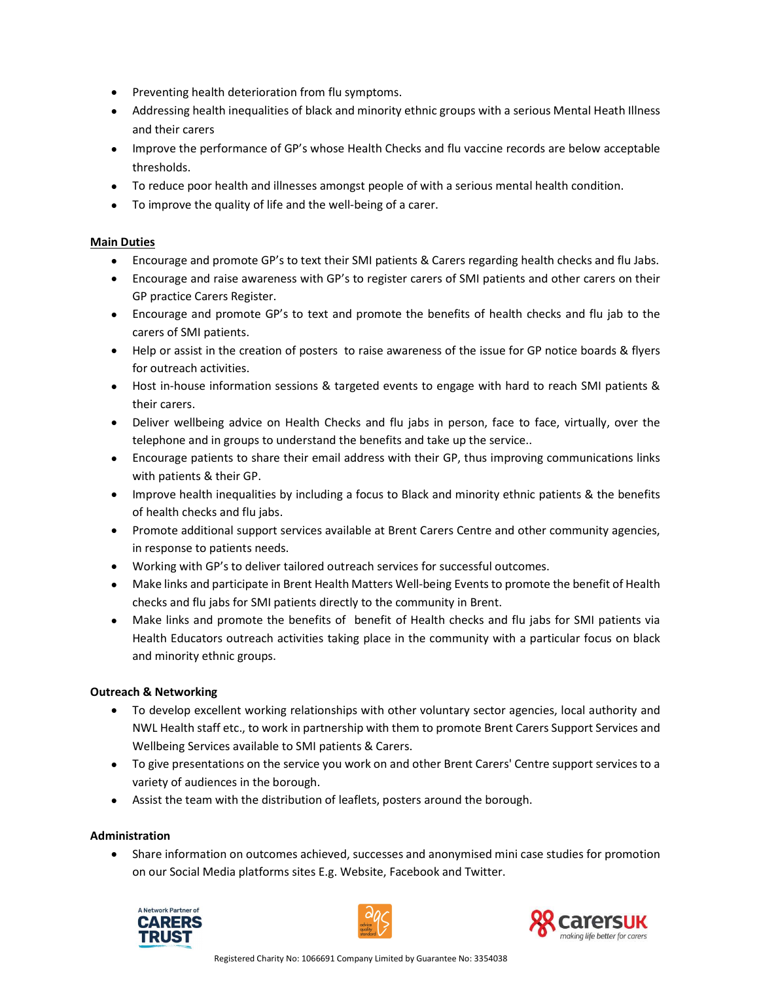- Preventing health deterioration from flu symptoms.
- Addressing health inequalities of black and minority ethnic groups with a serious Mental Heath Illness and their carers
- Improve the performance of GP's whose Health Checks and flu vaccine records are below acceptable thresholds.
- To reduce poor health and illnesses amongst people of with a serious mental health condition.
- To improve the quality of life and the well-being of a carer.

#### Main Duties

- Encourage and promote GP's to text their SMI patients & Carers regarding health checks and flu Jabs.
- Encourage and raise awareness with GP's to register carers of SMI patients and other carers on their GP practice Carers Register.
- Encourage and promote GP's to text and promote the benefits of health checks and flu jab to the carers of SMI patients.
- Help or assist in the creation of posters to raise awareness of the issue for GP notice boards & flyers for outreach activities.
- Host in-house information sessions & targeted events to engage with hard to reach SMI patients & their carers.
- Deliver wellbeing advice on Health Checks and flu jabs in person, face to face, virtually, over the telephone and in groups to understand the benefits and take up the service..
- Encourage patients to share their email address with their GP, thus improving communications links with patients & their GP.
- Improve health inequalities by including a focus to Black and minority ethnic patients & the benefits of health checks and flu jabs.
- Promote additional support services available at Brent Carers Centre and other community agencies, in response to patients needs.
- Working with GP's to deliver tailored outreach services for successful outcomes.
- Make links and participate in Brent Health Matters Well-being Events to promote the benefit of Health checks and flu jabs for SMI patients directly to the community in Brent.
- Make links and promote the benefits of benefit of Health checks and flu jabs for SMI patients via Health Educators outreach activities taking place in the community with a particular focus on black and minority ethnic groups.

### Outreach & Networking

- To develop excellent working relationships with other voluntary sector agencies, local authority and NWL Health staff etc., to work in partnership with them to promote Brent Carers Support Services and Wellbeing Services available to SMI patients & Carers.
- To give presentations on the service you work on and other Brent Carers' Centre support services to a variety of audiences in the borough.
- Assist the team with the distribution of leaflets, posters around the borough.

#### Administration

 Share information on outcomes achieved, successes and anonymised mini case studies for promotion on our Social Media platforms sites E.g. Website, Facebook and Twitter.





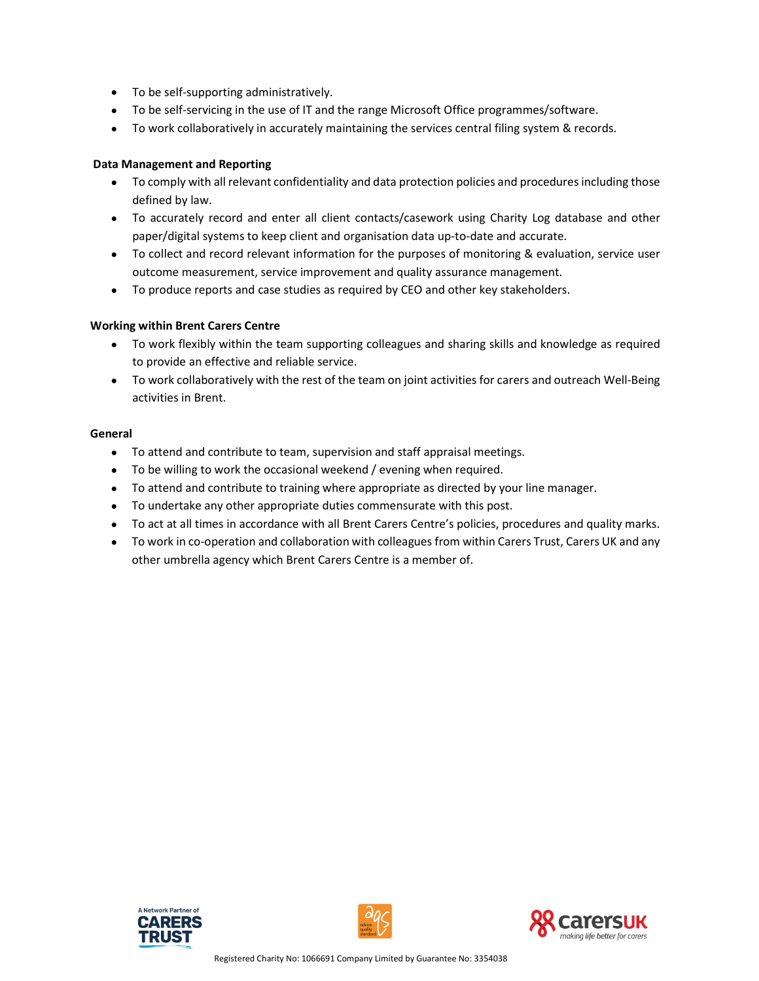- To be self-supporting administratively.
- To be self-servicing in the use of IT and the range Microsoft Office programmes/software.
- To work collaboratively in accurately maintaining the services central filing system & records.

#### Data Management and Reporting

- To comply with all relevant confidentiality and data protection policies and procedures including those defined by law.
- To accurately record and enter all client contacts/casework using Charity Log database and other paper/digital systems to keep client and organisation data up-to-date and accurate.
- To collect and record relevant information for the purposes of monitoring & evaluation, service user outcome measurement, service improvement and quality assurance management.
- To produce reports and case studies as required by CEO and other key stakeholders.

#### Working within Brent Carers Centre

- To work flexibly within the team supporting colleagues and sharing skills and knowledge as required to provide an effective and reliable service.
- To work collaboratively with the rest of the team on joint activities for carers and outreach Well-Being activities in Brent.

#### General

- To attend and contribute to team, supervision and staff appraisal meetings.
- To be willing to work the occasional weekend / evening when required.
- To attend and contribute to training where appropriate as directed by your line manager.
- To undertake any other appropriate duties commensurate with this post.
- To act at all times in accordance with all Brent Carers Centre's policies, procedures and quality marks.
- To work in co-operation and collaboration with colleagues from within Carers Trust, Carers UK and any other umbrella agency which Brent Carers Centre is a member of.